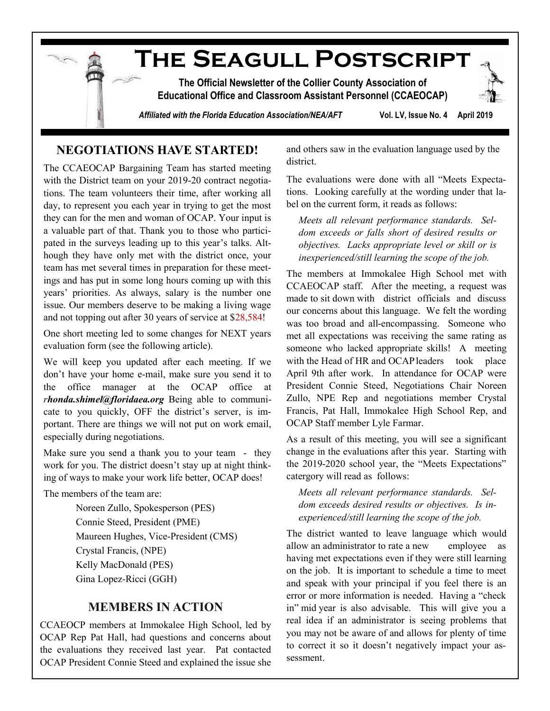**The Seagull Postscript**

**The Official Newsletter of the Collier County Association of Educational Office and Classroom Assistant Personnel (CCAEOCAP)**

*Affiliated with the Florida Education Association/NEA/AFT* **Vol. LV, Issue No. 4 April 2019**

## **NEGOTIATIONS HAVE STARTED!**

The CCAEOCAP Bargaining Team has started meeting with the District team on your 2019-20 contract negotiations. The team volunteers their time, after working all day, to represent you each year in trying to get the most they can for the men and woman of OCAP. Your input is a valuable part of that. Thank you to those who participated in the surveys leading up to this year's talks. Although they have only met with the district once, your team has met several times in preparation for these meetings and has put in some long hours coming up with this years' priorities. As always, salary is the number one issue. Our members deserve to be making a living wage and not topping out after 30 years of service at \$28,584!

One short meeting led to some changes for NEXT years evaluation form (see the following article).

We will keep you updated after each meeting. If we don't have your home e-mail, make sure you send it to the office manager at the OCAP office at *r[honda.shimel@floridaea.org](mailto:Rhonda.Shimel@floridaea.org)* Being able to communicate to you quickly, OFF the district's server, is important. There are things we will not put on work email, especially during negotiations.

Make sure you send a thank you to your team - they work for you. The district doesn't stay up at night thinking of ways to make your work life better, OCAP does!

The members of the team are:

Noreen Zullo, Spokesperson (PES) Connie Steed, President (PME) Maureen Hughes, Vice-President (CMS) Crystal Francis, (NPE) Kelly MacDonald (PES) Gina Lopez-Ricci (GGH)

# **MEMBERS IN ACTION**

CCAEOCP members at Immokalee High School, led by OCAP Rep Pat Hall, had questions and concerns about the evaluations they received last year. Pat contacted OCAP President Connie Steed and explained the issue she and others saw in the evaluation language used by the district.

The evaluations were done with all "Meets Expectations. Looking carefully at the wording under that label on the current form, it reads as follows:

*Meets all relevant performance standards. Seldom exceeds or falls short of desired results or objectives. Lacks appropriate level or skill or is inexperienced/still learning the scope of the job.*

The members at Immokalee High School met with CCAEOCAP staff. After the meeting, a request was made to sit down with district officials and discuss our concerns about this language. We felt the wording was too broad and all-encompassing. Someone who met all expectations was receiving the same rating as someone who lacked appropriate skills! A meeting with the Head of HR and OCAP leaders took place April 9th after work. In attendance for OCAP were President Connie Steed, Negotiations Chair Noreen Zullo, NPE Rep and negotiations member Crystal Francis, Pat Hall, Immokalee High School Rep, and OCAP Staff member Lyle Farmar.

As a result of this meeting, you will see a significant change in the evaluations after this year. Starting with the 2019-2020 school year, the "Meets Expectations" catergory will read as follows:

*Meets all relevant performance standards. Seldom exceeds desired results or objectives. Is inexperienced/still learning the scope of the job.*

The district wanted to leave language which would allow an administrator to rate a new employee as having met expectations even if they were still learning on the job. It is important to schedule a time to meet and speak with your principal if you feel there is an error or more information is needed. Having a "check in" mid year is also advisable. This will give you a real idea if an administrator is seeing problems that you may not be aware of and allows for plenty of time to correct it so it doesn't negatively impact your assessment.